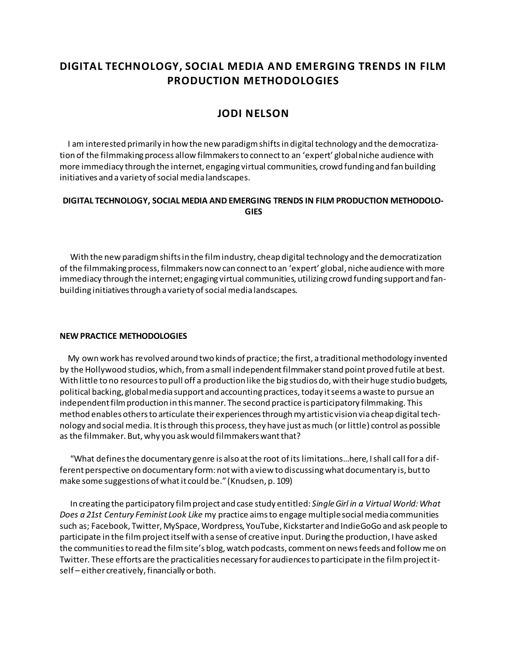# **DIGITAL TECHNOLOGY, SOCIAL MEDIA AND EMERGING TRENDS IN FILM PRODUCTION METHODOLOGIES**

## **JODI NELSON**

 I am interested primarily in how the new paradigm shifts in digital technology and the democratization of the filmmaking process allow filmmakers to connect to an 'expert' global niche audience with more immediacy through the internet, engaging virtual communities, crowd funding and fan building initiatives and a variety of social media landscapes.

### **DIGITAL TECHNOLOGY, SOCIAL MEDIA AND EMERGING TRENDS IN FILM PRODUCTION METHODOLO-GIES**

 With the new paradigm shifts in the film industry, cheap digital technology and the democratization of the filmmaking process, filmmakers now can connect to an 'expert' global, niche audience with more immediacy through the internet; engaging virtual communities, utilizing crowd funding support and fanbuilding initiatives through a variety of social media landscapes.

#### **NEW PRACTICE METHODOLOGIES**

 My own work has revolved around two kinds of practice; the first, a traditional methodology invented by the Hollywood studios, which, from a small independent filmmaker stand point proved futile at best. With little to no resources to pull off a production like the big studios do, with their huge studio budgets, political backing, global media support and accounting practices, today it seems a waste to pursue an independent film production in this manner. The second practice is participatory filmmaking. This method enables others to articulate their experiences through my artistic vision via cheap digital technology and social media. It is through this process, they have just as much (or little) control as possible as the filmmaker. But, why you ask would filmmakers want that?

 "What defines the documentary genre is also at the root of its limitations…here, I shall call for a different perspective on documentary form: not with a view to discussing what documentary is, but to make some suggestions of what it could be." (Knudsen, p. 109)

 In creating the participatory film project and case study entitled: *Single Girl in a Virtual World: What Does a 21st Century Feminist Look Like* my practice aims to engage multiple social media communities such as; Facebook, Twitter, MySpace, Wordpress, YouTube, Kickstarter and IndieGoGo and ask people to participate in the film project itself with a sense of creative input. During the production, I have asked the communities to read the film site's blog, watch podcasts, comment on news feeds and follow me on Twitter. These efforts are the practicalities necessary for audiences to participate in the film project itself – either creatively, financially or both.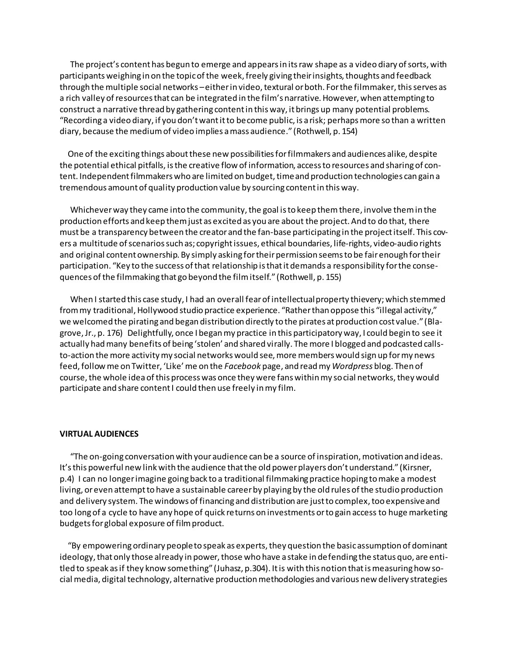The project's content has begun to emerge and appears in its raw shape as a video diary of sorts, with participants weighing in on the topic of the week, freely giving their insights, thoughts and feedback through the multiple social networks –either in video, textural or both. For the filmmaker, this serves as a rich valley of resources that can be integrated in the film's narrative. However, when attempting to construct a narrative thread by gathering content in this way, it brings up many potential problems. "Recording a video diary, if you don't want it to become public, is a risk; perhaps more so than a written diary, because the medium of video implies a mass audience." (Rothwell, p. 154)

 One of the exciting things about these new possibilities for filmmakers and audiences alike, despite the potential ethical pitfalls, is the creative flow of information, access to resources and sharing of content. Independent filmmakers who are limited on budget, time and production technologies can gain a tremendous amount of quality production value by sourcing content in this way.

 Whichever way they came into the community, the goal is to keep them there, involve them in the production efforts and keep them just as excited as you are about the project. And to do that, there must be a transparency between the creator and the fan-base participating in the project itself. This covers a multitude of scenarios such as; copyright issues, ethical boundaries, life-rights, video-audio rights and original content ownership. By simply asking for their permission seems to be fair enough for their participation. "Key to the success of that relationship is that it demands a responsibility for the consequences of the filmmaking that go beyond the film itself." (Rothwell, p. 155)

 When I started this case study, I had an overall fear of intellectual property thievery; which stemmed from my traditional, Hollywood studio practice experience. "Rather than oppose this "illegal activity," we welcomed the pirating and began distribution directly to the pirates at production cost value." (Blagrove, Jr., p. 176) Delightfully, once I began my practice in this participatory way, I could begin to see it actually had many benefits of being 'stolen' and shared virally. The more I blogged and podcasted callsto-action the more activity my social networks would see, more members would sign up for my news feed, follow me on Twitter, 'Like' me on the *Facebook* page, and read my *Wordpress* blog. Then of course, the whole idea of this process was once they were fans within my social networks, they would participate and share content I could then use freely in my film.

#### **VIRTUAL AUDIENCES**

 "The on-going conversation with your audience can be a source of inspiration, motivation and ideas. It's this powerful new link with the audience that the old power players don't understand." (Kirsner, p.4) I can no longer imagine going back to a traditional filmmaking practice hoping to make a modest living, or even attempt to have a sustainable career by playing by the old rules of the studio production and delivery system. The windows of financing and distribution are just to complex, too expensive and too long of a cycle to have any hope of quick returns on investments or to gain access to huge marketing budgets for global exposure of film product.

 "By empowering ordinary people to speak as experts, they question the basic assumption of dominant ideology, that only those already in power, those who have a stake in defending the status quo, are entitled to speak as if they know something" (Juhasz, p.304). It is with this notion that is measuring how social media, digital technology, alternative production methodologies and various new delivery strategies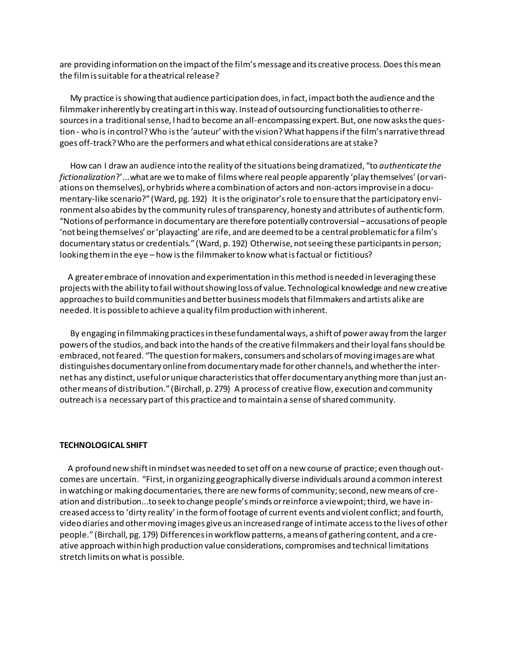are providing information on the impact of the film's message and its creative process. Does this mean the film is suitable for a theatrical release?

 My practice is showing that audience participation does, in fact, impact both the audience and the filmmaker inherently by creating art in this way. Instead of outsourcing functionalities to other resources in a traditional sense, I had to become an all-encompassing expert. But, one now asks the question - who is in control? Who is the 'auteur' with the vision? What happens if the film's narrative thread goes off-track? Who are the performers and what ethical considerations are at stake?

 How can I draw an audience into the reality of the situations being dramatized, "to *authenticate the fictionalization*?'...what are we to make of films where real people apparently 'play themselves' (or variations on themselves), or hybrids where a combination of actors and non-actors improvise in a documentary-like scenario?" (Ward, pg. 192) It is the originator's role to ensure that the participatory environment also abides by the community rules of transparency, honesty and attributes of authentic form. "Notions of performance in documentary are therefore potentially controversial –accusations of people 'not being themselves' or 'playacting' are rife, and are deemed to be a central problematic for a film's documentary status or credentials." (Ward, p. 192) Otherwise, not seeing these participants in person; looking them in the eye – how is the filmmaker to know what is factual or fictitious?

 A greater embrace of innovation and experimentation in this method is needed in leveraging these projects with the ability to fail without showing loss of value. Technological knowledge and new creative approaches to build communities and better business models that filmmakers and artists alike are needed. It is possible to achieve a quality film production with inherent.

 By engaging in filmmaking practices in these fundamental ways, a shift of power away from the larger powers of the studios, and back into the hands of the creative filmmakers and their loyal fans should be embraced, not feared. "The question for makers, consumers and scholars of moving images are what distinguishes documentary online from documentary made for other channels, and whether the internet has any distinct, useful or unique characteristics that offer documentary anything more than just another means of distribution." (Birchall, p. 279) A process of creative flow, execution and community outreach is a necessary part of this practice and to maintain a sense of shared community.

#### **TECHNOLOGICAL SHIFT**

 A profound new shift in mindset was needed to set off on a new course of practice; even though outcomes are uncertain. "First, in organizing geographically diverse individuals around a common interest in watching or making documentaries, there are new forms of community; second, new means of creation and distribution...to seek to change people's minds or reinforce a viewpoint; third, we have increased access to 'dirty reality' in the form of footage of current events and violent conflict; and fourth, video diaries and other moving images give us an increased range of intimate access to the lives of other people." (Birchall, pg. 179) Differences in workflow patterns, a means of gathering content, and a creative approach within high production value considerations, compromises and technical limitations stretch limits on what is possible.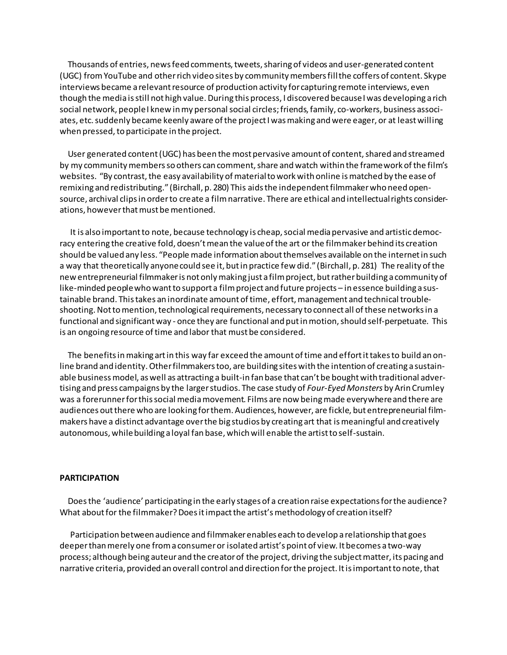Thousands of entries, news feed comments, tweets, sharing of videos and user-generated content (UGC) from YouTube and other rich video sites by community members fill the coffers of content. Skype interviews became a relevant resource of production activity for capturing remote interviews, even though the media is still not high value. During this process, I discovered because I was developing a rich social network, people I knew in my personal social circles; friends, family, co-workers, business associates, etc. suddenly became keenly aware of the project I was making and were eager, or at least willing when pressed, to participate in the project.

 User generated content (UGC) has been the most pervasive amount of content, shared and streamed by my community members so others can comment, share and watch within the framework of the film's websites. "By contrast, the easy availability of material to work with online is matched by the ease of remixing and redistributing." (Birchall, p. 280) This aids the independent filmmaker who need opensource, archival clips in order to create a film narrative. There are ethical and intellectual rights considerations, however that must be mentioned.

 It is also important to note, because technology is cheap, social media pervasive and artistic democracy entering the creative fold, doesn't mean the value of the art or the film maker behind its creation should be valued any less. "People made information about themselves available on the internet in such a way that theoretically anyone could see it, but in practice few did." (Birchall, p. 281) The reality of the new entrepreneurial filmmaker is not only making just a film project, but rather building a community of like-minded people who want to support a film project and future projects – in essence building a sustainable brand. This takes an inordinate amount of time, effort, management and technical troubleshooting. Not to mention, technological requirements, necessary to connect all of these networks in a functional and significant way - once they are functional and put in motion, should self-perpetuate. This is an ongoing resource of time and labor that must be considered.

 The benefits in making art in this way far exceed the amount of time and effort it takes to build an online brand and identity. Other filmmakers too, are building sites with the intention of creating a sustainable business model, as well as attracting a built-in fan base that can't be bought with traditional advertising and press campaigns by the larger studios. The case study of *Four-Eyed Monsters* by Arin Crumley was a forerunner for this social media movement. Films are now being made everywhere and there are audiences out there who are looking for them. Audiences, however, are fickle, but entrepreneurial filmmakers have a distinct advantage over the big studios by creating art that is meaningful and creatively autonomous, while building a loyal fan base, which will enable the artist to self-sustain.

#### **PARTICIPATION**

 Does the 'audience' participating in the early stages of a creation raise expectations for the audience? What about for the filmmaker? Does it impact the artist's methodology of creation itself?

 Participation between audience and filmmaker enables each to develop a relationship that goes deeper than merely one from a consumer or isolated artist's point of view. It becomes a two-way process; although being auteur and the creator of the project, driving the subject matter, its pacing and narrative criteria, provided an overall control and direction for the project. It is important to note, that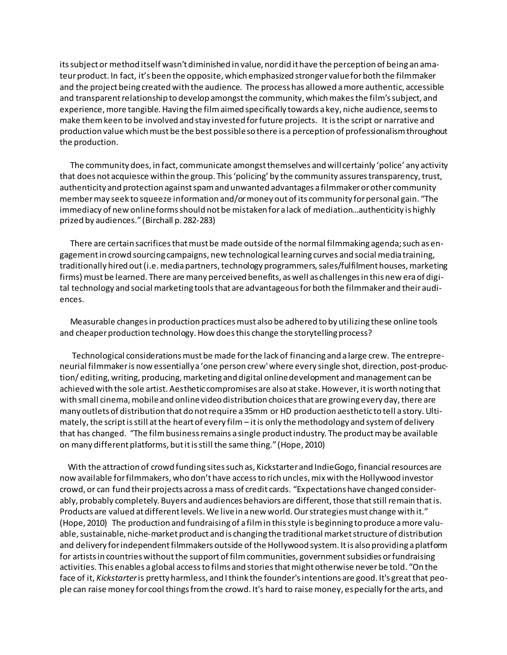its subject or method itself wasn't diminished in value, nor did it have the perception of being an amateur product. In fact, it's been the opposite, which emphasized stronger value for both the filmmaker and the project being created with the audience. The process has allowed a more authentic, accessible and transparent relationship to develop amongst the community, which makes the film's subject, and experience, more tangible. Having the film aimed specifically towards a key, niche audience, seems to make them keen to be involved and stay invested for future projects. It is the script or narrative and production value which must be the best possible so there is a perception of professionalism throughout the production.

 The community does, in fact, communicate amongst themselves and will certainly 'police' any activity that does not acquiesce within the group. This 'policing' by the community assures transparency, trust, authenticity and protection against spam and unwanted advantages a filmmaker or other community member may seek to squeeze information and/or money out of its community for personal gain. "The immediacy of new online forms should not be mistaken for a lack of mediation…authenticity is highly prized by audiences." (Birchall p. 282-283)

 There are certain sacrifices that must be made outside of the normal filmmaking agenda; such as engagement in crowd sourcing campaigns, new technological learning curves and social media training, traditionally hired out (i.e. media partners, technology programmers, sales/fulfilment houses, marketing firms) must be learned. There are many perceived benefits, as well as challenges in this new era of digital technology and social marketing tools that are advantageous for both the filmmaker and their audiences.

 Measurable changes in production practices must also be adhered to by utilizing these online tools and cheaper production technology. How does this change the storytelling process?

 Technological considerations must be made for the lack of financing and a large crew. The entrepreneurial filmmaker is now essentially a 'one person crew' where every single shot, direction, post-production/ editing, writing, producing, marketing and digital online development and management can be achieved with the sole artist. Aesthetic compromises are also at stake. However, it is worth noting that with small cinema, mobile and online video distribution choices that are growing every day, there are many outlets of distribution that do not require a 35mm or HD production aesthetic to tell a story. Ultimately, the script is still at the heart of every film – it is only the methodology and system of delivery that has changed. "The film business remains a single product industry. The product may be available on many different platforms, but it is still the same thing." (Hope, 2010)

 With the attraction of crowd funding sites such as, Kickstarter and IndieGogo, financial resources are now available for filmmakers, who don't have access to rich uncles, mix with the Hollywood investor crowd, or can fund their projects across a mass of credit cards. "Expectations have changed considerably, probably completely. Buyers and audiences behaviors are different, those that still remain that is. Products are valued at different levels. We live in a new world. Our strategies must change with it." (Hope, 2010) The production and fundraising of a film in this style is beginning to produce a more valuable, sustainable, niche-market product and is changing the traditional market structure of distribution and delivery for independent filmmakers outside of the Hollywood system. It is also providing a platform for artists in countries without the support of film communities, government subsidies or fundraising activities. This enables a global access to films and stories that might otherwise never be told. "On the face of it, *Kickstarter*is pretty harmless, and I think the founder's intentions are good. It's great that people can raise money for cool things from the crowd. It's hard to raise money, especially for the arts, and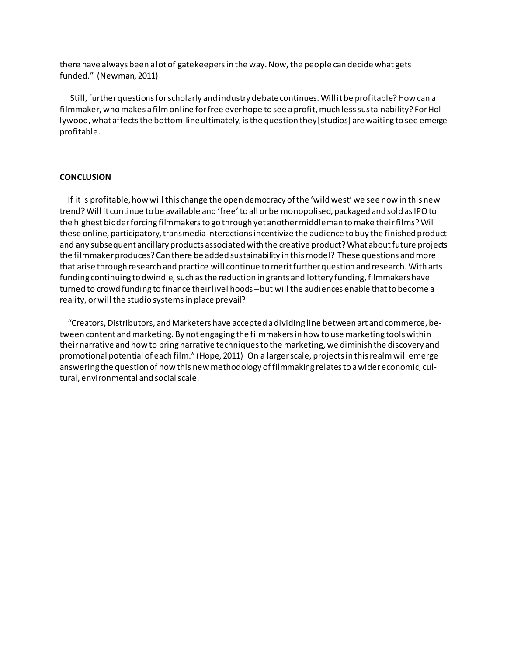there have always been a lot of gatekeepers in the way. Now, the people can decide what gets funded." (Newman, 2011)

 Still, further questions for scholarly and industry debate continues. Will it be profitable? How can a filmmaker, who makes a film online for free ever hope to see a profit, much less sustainability? For Hollywood, what affects the bottom-line ultimately, is the question they [studios] are waiting to see emerge profitable.

#### **CONCLUSION**

 If it is profitable, how will this change the open democracy of the 'wild west' we see now in this new trend? Will it continue to be available and 'free' to all or be monopolised, packaged and sold as IPO to the highest bidder forcing filmmakers to go through yet another middleman to make their films? Will these online, participatory, transmedia interactions incentivize the audience to buy the finished product and any subsequent ancillary products associated with the creative product? What about future projects the filmmaker produces? Can there be added sustainability in this model? These questions and more that arise through research and practice will continue to merit further question and research. With arts funding continuing to dwindle, such as the reduction in grants and lottery funding, filmmakers have turned to crowd funding to finance their livelihoods – but will the audiences enable that to become a reality, or will the studio systems in place prevail?

 "Creators, Distributors, and Marketers have accepted a dividing line between art and commerce, between content and marketing. By not engaging the filmmakers in how to use marketing tools within their narrative and how to bring narrative techniques to the marketing, we diminish the discovery and promotional potential of each film." (Hope, 2011) On a larger scale, projects in this realm will emerge answering the question of how this new methodology of filmmaking relates to a wider economic, cultural, environmental and social scale.